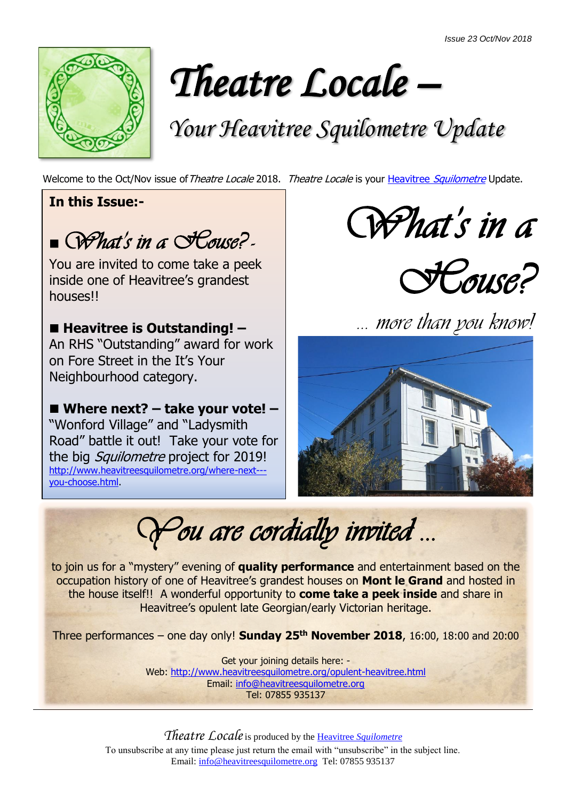

*Theatre Locale –* 

# *Your Heavitree Squilometre Update*

Welcome to the Oct/Nov issue of Theatre Locale 2018. Theatre Locale is your Heavitree [Squilometre](http://www.heavitreesquilometre.org/) Update.

**In this Issue:-**

■ What's in a **House?** 

You are invited to come take a peek inside one of Heavitree's grandest houses!!

## ■ Heavitree is Outstanding! –

An RHS "Outstanding" award for work on Fore Street in the It's Your Neighbourhood category.

■ Where next? – take your vote! – "Wonford Village" and "Ladysmith Road" battle it out! Take your vote for the big *Squilometre* project for 2019! [http://www.heavitreesquilometre.org/where-next--](http://www.heavitreesquilometre.org/where-next---you-choose.html) [you-choose.html.](http://www.heavitreesquilometre.org/where-next---you-choose.html)

*What's in a* 



*… more than you know!*



*You are cordially invited …* 

to join us for a "mystery" evening of **quality performance** and entertainment based on the occupation history of one of Heavitree's grandest houses on **Mont le Grand** and hosted in the house itself!! A wonderful opportunity to **come take a peek inside** and share in Heavitree's opulent late Georgian/early Victorian heritage.

Three performances – one day only! **Sunday 25th November 2018**, 16:00, 18:00 and 20:00

Get your joining details here: - Web:<http://www.heavitreesquilometre.org/opulent-heavitree.html> Email: [info@heavitreesquilometre.org](mailto:info@heavitreesquilometre.org) Tel: 07855 935137

*Theatre Locale*is produced by the Heavitree *[Squilometre](http://www.heavitreesquilometre.org/)* To unsubscribe at any time please just return the email with "unsubscribe" in the subject line. Email: [info@heavitreesquilometre.org](mailto:info@heavitreesquilometre.org) Tel: 07855 935137